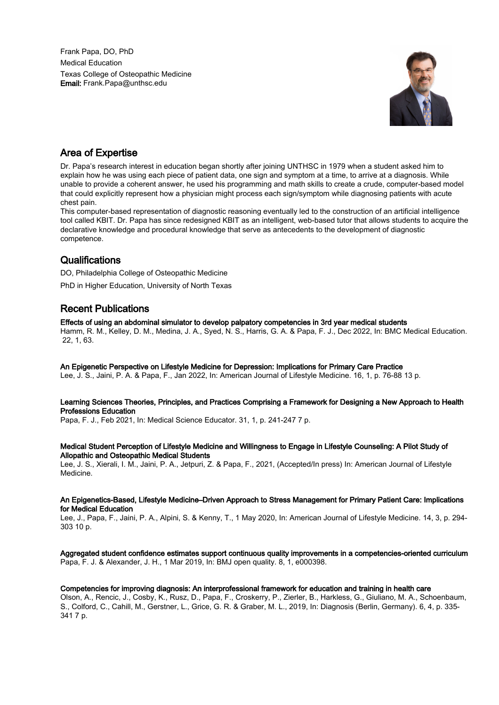Frank Papa, DO, PhD Medical Education Texas College of Osteopathic Medicine Email: Frank.Papa@unthsc.edu



# Area of Expertise

Dr. Papa's research interest in education began shortly after joining UNTHSC in 1979 when a student asked him to explain how he was using each piece of patient data, one sign and symptom at a time, to arrive at a diagnosis. While unable to provide a coherent answer, he used his programming and math skills to create a crude, computer-based model that could explicitly represent how a physician might process each sign/symptom while diagnosing patients with acute chest pain.

This computer-based representation of diagnostic reasoning eventually led to the construction of an artificial intelligence tool called KBIT. Dr. Papa has since redesigned KBIT as an intelligent, web-based tutor that allows students to acquire the declarative knowledge and procedural knowledge that serve as antecedents to the development of diagnostic competence.

# **Qualifications**

DO, Philadelphia College of Osteopathic Medicine

PhD in Higher Education, University of North Texas

# Recent Publications

# Effects of using an abdominal simulator to develop palpatory competencies in 3rd year medical students

Hamm, R. M., Kelley, D. M., Medina, J. A., Syed, N. S., Harris, G. A. & Papa, F. J., Dec 2022, In: BMC Medical Education. 22, 1, 63.

# An Epigenetic Perspective on Lifestyle Medicine for Depression: Implications for Primary Care Practice

Lee, J. S., Jaini, P. A. & Papa, F., Jan 2022, In: American Journal of Lifestyle Medicine. 16, 1, p. 76-88 13 p.

### Learning Sciences Theories, Principles, and Practices Comprising a Framework for Designing a New Approach to Health Professions Education

Papa, F. J., Feb 2021, In: Medical Science Educator. 31, 1, p. 241-247 7 p.

### Medical Student Perception of Lifestyle Medicine and Willingness to Engage in Lifestyle Counseling: A Pilot Study of Allopathic and Osteopathic Medical Students

Lee, J. S., Xierali, I. M., Jaini, P. A., Jetpuri, Z. & Papa, F., 2021, (Accepted/In press) In: American Journal of Lifestyle Medicine.

#### An Epigenetics-Based, Lifestyle Medicine–Driven Approach to Stress Management for Primary Patient Care: Implications for Medical Education

Lee, J., Papa, F., Jaini, P. A., Alpini, S. & Kenny, T., 1 May 2020, In: American Journal of Lifestyle Medicine. 14, 3, p. 294- 303 10 p.

# Aggregated student confidence estimates support continuous quality improvements in a competencies-oriented curriculum Papa, F. J. & Alexander, J. H., 1 Mar 2019, In: BMJ open quality. 8, 1, e000398.

# Competencies for improving diagnosis: An interprofessional framework for education and training in health care

Olson, A., Rencic, J., Cosby, K., Rusz, D., Papa, F., Croskerry, P., Zierler, B., Harkless, G., Giuliano, M. A., Schoenbaum, S., Colford, C., Cahill, M., Gerstner, L., Grice, G. R. & Graber, M. L., 2019, In: Diagnosis (Berlin, Germany). 6, 4, p. 335- 341 7 p.